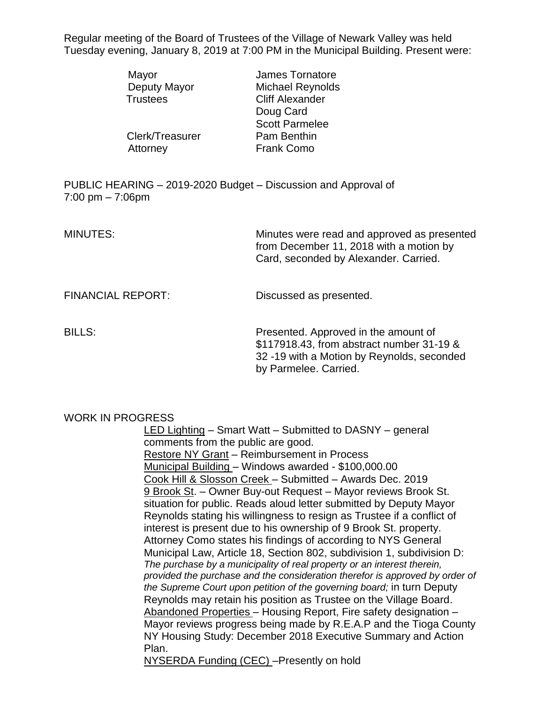Regular meeting of the Board of Trustees of the Village of Newark Valley was held Tuesday evening, January 8, 2019 at 7:00 PM in the Municipal Building. Present were:

|                                                                                                      | Mayor<br>Deputy Mayor<br><b>Trustees</b> | James Tornatore<br><b>Michael Reynolds</b><br><b>Cliff Alexander</b><br>Doug Card<br><b>Scott Parmelee</b>                      |  |
|------------------------------------------------------------------------------------------------------|------------------------------------------|---------------------------------------------------------------------------------------------------------------------------------|--|
|                                                                                                      | Clerk/Treasurer<br>Attorney              | Pam Benthin<br><b>Frank Como</b>                                                                                                |  |
| PUBLIC HEARING - 2019-2020 Budget - Discussion and Approval of<br>$7:00 \text{ pm} - 7:06 \text{pm}$ |                                          |                                                                                                                                 |  |
| <b>MINUTES:</b>                                                                                      |                                          | Minutes were read and approved as presented<br>from December 11, 2018 with a motion by<br>Card, seconded by Alexander. Carried. |  |

FINANCIAL REPORT: Discussed as presented.

BILLS: Presented. Approved in the amount of \$117918.43, from abstract number 31-19 & 32 -19 with a Motion by Reynolds, seconded by Parmelee. Carried.

## WORK IN PROGRESS

LED Lighting – Smart Watt – Submitted to DASNY – general comments from the public are good. Restore NY Grant – Reimbursement in Process Municipal Building – Windows awarded - \$100,000.00 Cook Hill & Slosson Creek – Submitted – Awards Dec. 2019 9 Brook St. – Owner Buy-out Request – Mayor reviews Brook St. situation for public. Reads aloud letter submitted by Deputy Mayor Reynolds stating his willingness to resign as Trustee if a conflict of interest is present due to his ownership of 9 Brook St. property. Attorney Como states his findings of according to NYS General Municipal Law, Article 18, Section 802, subdivision 1, subdivision D: *The purchase by a municipality of real property or an interest therein, provided the purchase and the consideration therefor is approved by order of the Supreme Court upon petition of the governing board;* in turn Deputy Reynolds may retain his position as Trustee on the Village Board. Abandoned Properties – Housing Report, Fire safety designation – Mayor reviews progress being made by R.E.A.P and the Tioga County NY Housing Study: December 2018 Executive Summary and Action Plan.

NYSERDA Funding (CEC) –Presently on hold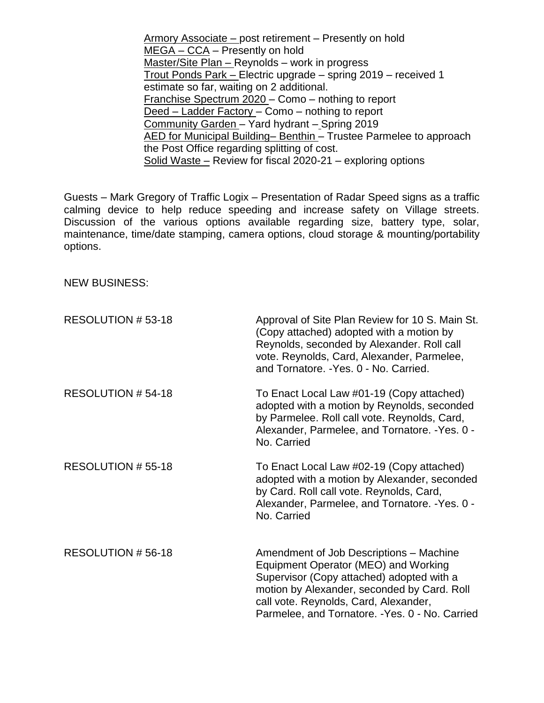Armory Associate – post retirement – Presently on hold MEGA – CCA – Presently on hold Master/Site Plan – Reynolds – work in progress Trout Ponds Park – Electric upgrade – spring 2019 – received 1 estimate so far, waiting on 2 additional. Franchise Spectrum 2020 – Como – nothing to report Deed – Ladder Factory – Como – nothing to report Community Garden – Yard hydrant – Spring 2019 AED for Municipal Building– Benthin – Trustee Parmelee to approach the Post Office regarding splitting of cost. Solid Waste – Review for fiscal 2020-21 – exploring options

Guests – Mark Gregory of Traffic Logix – Presentation of Radar Speed signs as a traffic calming device to help reduce speeding and increase safety on Village streets. Discussion of the various options available regarding size, battery type, solar, maintenance, time/date stamping, camera options, cloud storage & mounting/portability options.

NEW BUSINESS:

| RESOLUTION #53-18 | Approval of Site Plan Review for 10 S. Main St.<br>(Copy attached) adopted with a motion by<br>Reynolds, seconded by Alexander. Roll call<br>vote. Reynolds, Card, Alexander, Parmelee,<br>and Tornatore. - Yes. 0 - No. Carried.                                       |
|-------------------|-------------------------------------------------------------------------------------------------------------------------------------------------------------------------------------------------------------------------------------------------------------------------|
| RESOLUTION #54-18 | To Enact Local Law #01-19 (Copy attached)<br>adopted with a motion by Reynolds, seconded<br>by Parmelee. Roll call vote. Reynolds, Card,<br>Alexander, Parmelee, and Tornatore. - Yes. 0 -<br>No. Carried                                                               |
| RESOLUTION #55-18 | To Enact Local Law #02-19 (Copy attached)<br>adopted with a motion by Alexander, seconded<br>by Card. Roll call vote. Reynolds, Card,<br>Alexander, Parmelee, and Tornatore. - Yes. 0 -<br>No. Carried                                                                  |
| RESOLUTION #56-18 | Amendment of Job Descriptions - Machine<br>Equipment Operator (MEO) and Working<br>Supervisor (Copy attached) adopted with a<br>motion by Alexander, seconded by Card. Roll<br>call vote. Reynolds, Card, Alexander,<br>Parmelee, and Tornatore. - Yes. 0 - No. Carried |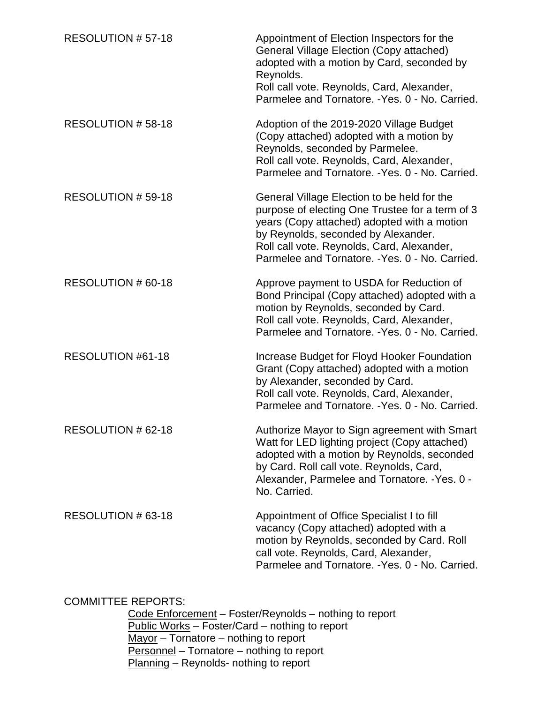| RESOLUTION #57-18  | Appointment of Election Inspectors for the<br><b>General Village Election (Copy attached)</b><br>adopted with a motion by Card, seconded by<br>Reynolds.<br>Roll call vote. Reynolds, Card, Alexander,<br>Parmelee and Tornatore. - Yes. 0 - No. Carried.                             |
|--------------------|---------------------------------------------------------------------------------------------------------------------------------------------------------------------------------------------------------------------------------------------------------------------------------------|
| RESOLUTION #58-18  | Adoption of the 2019-2020 Village Budget<br>(Copy attached) adopted with a motion by<br>Reynolds, seconded by Parmelee.<br>Roll call vote. Reynolds, Card, Alexander,<br>Parmelee and Tornatore. - Yes. 0 - No. Carried.                                                              |
| RESOLUTION # 59-18 | General Village Election to be held for the<br>purpose of electing One Trustee for a term of 3<br>years (Copy attached) adopted with a motion<br>by Reynolds, seconded by Alexander.<br>Roll call vote. Reynolds, Card, Alexander,<br>Parmelee and Tornatore. - Yes. 0 - No. Carried. |
| RESOLUTION # 60-18 | Approve payment to USDA for Reduction of<br>Bond Principal (Copy attached) adopted with a<br>motion by Reynolds, seconded by Card.<br>Roll call vote. Reynolds, Card, Alexander,<br>Parmelee and Tornatore. - Yes. 0 - No. Carried.                                                   |
| RESOLUTION #61-18  | Increase Budget for Floyd Hooker Foundation<br>Grant (Copy attached) adopted with a motion<br>by Alexander, seconded by Card.<br>Roll call vote. Reynolds, Card, Alexander,<br>Parmelee and Tornatore. - Yes. 0 - No. Carried.                                                        |
| RESOLUTION # 62-18 | Authorize Mayor to Sign agreement with Smart<br>Watt for LED lighting project (Copy attached)<br>adopted with a motion by Reynolds, seconded<br>by Card. Roll call vote. Reynolds, Card,<br>Alexander, Parmelee and Tornatore. - Yes. 0 -<br>No. Carried.                             |
| RESOLUTION # 63-18 | Appointment of Office Specialist I to fill<br>vacancy (Copy attached) adopted with a<br>motion by Reynolds, seconded by Card. Roll<br>call vote. Reynolds, Card, Alexander,<br>Parmelee and Tornatore. - Yes. 0 - No. Carried.                                                        |

## COMMITTEE REPORTS:

Code Enforcement – Foster/Reynolds – nothing to report Public Works - Foster/Card - nothing to report <u>Mayor</u> – Tornatore – nothing to report Personnel – Tornatore – nothing to report Planning - Reynolds- nothing to report